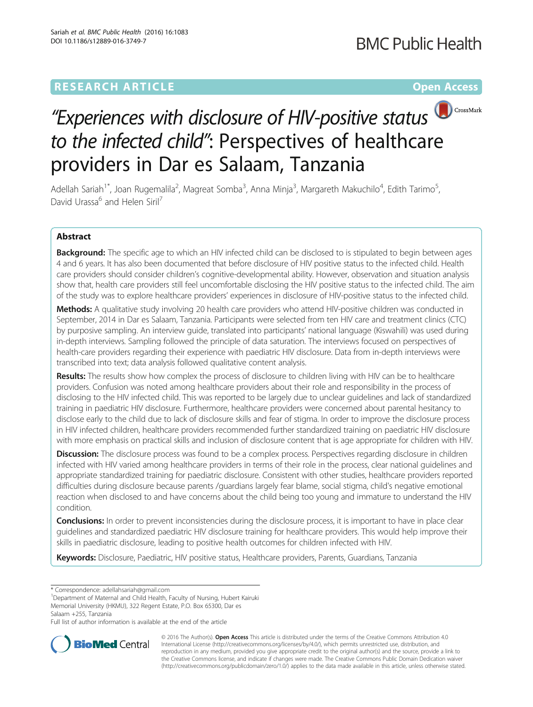## **RESEARCH ARTICLE Example 2014 12:30 The Contract of Contract ACCESS**



# "Experiences with disclosure of HIV-positive status  $\bigcirc$  CrossMark to the infected child": Perspectives of healthcare providers in Dar es Salaam, Tanzania

Adellah Sariah<sup>1\*</sup>, Joan Rugemalila<sup>2</sup>, Magreat Somba<sup>3</sup>, Anna Minja<sup>3</sup>, Margareth Makuchilo<sup>4</sup>, Edith Tarimo<sup>5</sup> , David Urassa<sup>6</sup> and Helen Siril<sup>7</sup>

### Abstract

Background: The specific age to which an HIV infected child can be disclosed to is stipulated to begin between ages 4 and 6 years. It has also been documented that before disclosure of HIV positive status to the infected child. Health care providers should consider children's cognitive-developmental ability. However, observation and situation analysis show that, health care providers still feel uncomfortable disclosing the HIV positive status to the infected child. The aim of the study was to explore healthcare providers' experiences in disclosure of HIV-positive status to the infected child.

Methods: A qualitative study involving 20 health care providers who attend HIV-positive children was conducted in September, 2014 in Dar es Salaam, Tanzania. Participants were selected from ten HIV care and treatment clinics (CTC) by purposive sampling. An interview guide, translated into participants' national language (Kiswahili) was used during in-depth interviews. Sampling followed the principle of data saturation. The interviews focused on perspectives of health-care providers regarding their experience with paediatric HIV disclosure. Data from in-depth interviews were transcribed into text; data analysis followed qualitative content analysis.

Results: The results show how complex the process of disclosure to children living with HIV can be to healthcare providers. Confusion was noted among healthcare providers about their role and responsibility in the process of disclosing to the HIV infected child. This was reported to be largely due to unclear guidelines and lack of standardized training in paediatric HIV disclosure. Furthermore, healthcare providers were concerned about parental hesitancy to disclose early to the child due to lack of disclosure skills and fear of stigma. In order to improve the disclosure process in HIV infected children, healthcare providers recommended further standardized training on paediatric HIV disclosure with more emphasis on practical skills and inclusion of disclosure content that is age appropriate for children with HIV.

**Discussion:** The disclosure process was found to be a complex process. Perspectives regarding disclosure in children infected with HIV varied among healthcare providers in terms of their role in the process, clear national guidelines and appropriate standardized training for paediatric disclosure. Consistent with other studies, healthcare providers reported difficulties during disclosure because parents /guardians largely fear blame, social stigma, child's negative emotional reaction when disclosed to and have concerns about the child being too young and immature to understand the HIV condition.

Conclusions: In order to prevent inconsistencies during the disclosure process, it is important to have in place clear guidelines and standardized paediatric HIV disclosure training for healthcare providers. This would help improve their skills in paediatric disclosure, leading to positive health outcomes for children infected with HIV.

Keywords: Disclosure, Paediatric, HIV positive status, Healthcare providers, Parents, Guardians, Tanzania

Full list of author information is available at the end of the article



© 2016 The Author(s). Open Access This article is distributed under the terms of the Creative Commons Attribution 4.0 International License [\(http://creativecommons.org/licenses/by/4.0/](http://creativecommons.org/licenses/by/4.0/)), which permits unrestricted use, distribution, and reproduction in any medium, provided you give appropriate credit to the original author(s) and the source, provide a link to the Creative Commons license, and indicate if changes were made. The Creative Commons Public Domain Dedication waiver [\(http://creativecommons.org/publicdomain/zero/1.0/](http://creativecommons.org/publicdomain/zero/1.0/)) applies to the data made available in this article, unless otherwise stated.

<sup>\*</sup> Correspondence: [adellahsariah@gmail.com](mailto:adellahsariah@gmail.com) <sup>1</sup>

<sup>&</sup>lt;sup>1</sup>Department of Maternal and Child Health, Faculty of Nursing, Hubert Kairuki Memorial University (HKMU), 322 Regent Estate, P.O. Box 65300, Dar es Salaam +255, Tanzania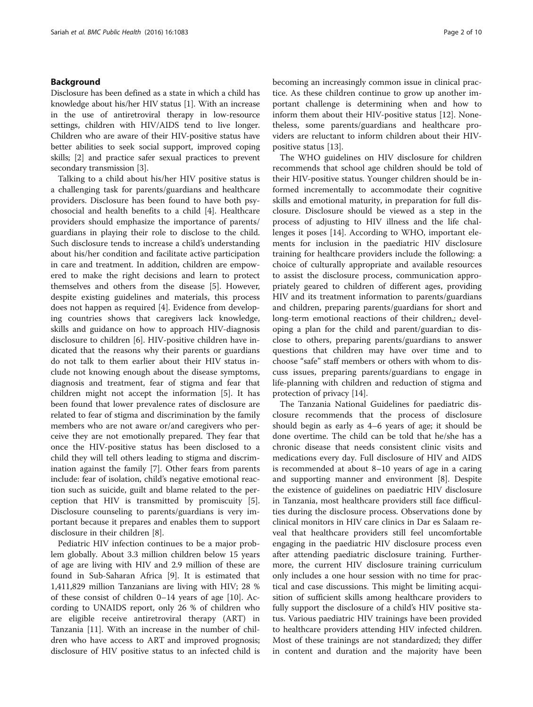#### Background

Disclosure has been defined as a state in which a child has knowledge about his/her HIV status [\[1](#page-8-0)]. With an increase in the use of antiretroviral therapy in low-resource settings, children with HIV/AIDS tend to live longer. Children who are aware of their HIV-positive status have better abilities to seek social support, improved coping skills; [\[2](#page-8-0)] and practice safer sexual practices to prevent secondary transmission [\[3\]](#page-8-0).

Talking to a child about his/her HIV positive status is a challenging task for parents/guardians and healthcare providers. Disclosure has been found to have both psychosocial and health benefits to a child [[4\]](#page-8-0). Healthcare providers should emphasize the importance of parents/ guardians in playing their role to disclose to the child. Such disclosure tends to increase a child's understanding about his/her condition and facilitate active participation in care and treatment. In addition, children are empowered to make the right decisions and learn to protect themselves and others from the disease [\[5](#page-8-0)]. However, despite existing guidelines and materials, this process does not happen as required [\[4\]](#page-8-0). Evidence from developing countries shows that caregivers lack knowledge, skills and guidance on how to approach HIV-diagnosis disclosure to children [[6\]](#page-8-0). HIV-positive children have indicated that the reasons why their parents or guardians do not talk to them earlier about their HIV status include not knowing enough about the disease symptoms, diagnosis and treatment, fear of stigma and fear that children might not accept the information [[5\]](#page-8-0). It has been found that lower prevalence rates of disclosure are related to fear of stigma and discrimination by the family members who are not aware or/and caregivers who perceive they are not emotionally prepared. They fear that once the HIV-positive status has been disclosed to a child they will tell others leading to stigma and discrimination against the family [[7\]](#page-8-0). Other fears from parents include: fear of isolation, child's negative emotional reaction such as suicide, guilt and blame related to the perception that HIV is transmitted by promiscuity [\[5](#page-8-0)]. Disclosure counseling to parents/guardians is very important because it prepares and enables them to support disclosure in their children [\[8\]](#page-8-0).

Pediatric HIV infection continues to be a major problem globally. About 3.3 million children below 15 years of age are living with HIV and 2.9 million of these are found in Sub-Saharan Africa [\[9\]](#page-8-0). It is estimated that 1,411,829 million Tanzanians are living with HIV; 28 % of these consist of children 0–14 years of age [[10\]](#page-8-0). According to UNAIDS report, only 26 % of children who are eligible receive antiretroviral therapy (ART) in Tanzania [\[11](#page-8-0)]. With an increase in the number of children who have access to ART and improved prognosis; disclosure of HIV positive status to an infected child is becoming an increasingly common issue in clinical practice. As these children continue to grow up another important challenge is determining when and how to inform them about their HIV-positive status [\[12](#page-8-0)]. Nonetheless, some parents/guardians and healthcare providers are reluctant to inform children about their HIVpositive status [[13](#page-8-0)].

The WHO guidelines on HIV disclosure for children recommends that school age children should be told of their HIV-positive status. Younger children should be informed incrementally to accommodate their cognitive skills and emotional maturity, in preparation for full disclosure. Disclosure should be viewed as a step in the process of adjusting to HIV illness and the life challenges it poses [[14\]](#page-8-0). According to WHO, important elements for inclusion in the paediatric HIV disclosure training for healthcare providers include the following: a choice of culturally appropriate and available resources to assist the disclosure process, communication appropriately geared to children of different ages, providing HIV and its treatment information to parents/guardians and children, preparing parents/guardians for short and long-term emotional reactions of their children,; developing a plan for the child and parent/guardian to disclose to others, preparing parents/guardians to answer questions that children may have over time and to choose "safe" staff members or others with whom to discuss issues, preparing parents/guardians to engage in life-planning with children and reduction of stigma and protection of privacy [\[14\]](#page-8-0).

The Tanzania National Guidelines for paediatric disclosure recommends that the process of disclosure should begin as early as 4–6 years of age; it should be done overtime. The child can be told that he/she has a chronic disease that needs consistent clinic visits and medications every day. Full disclosure of HIV and AIDS is recommended at about 8–10 years of age in a caring and supporting manner and environment [\[8](#page-8-0)]. Despite the existence of guidelines on paediatric HIV disclosure in Tanzania, most healthcare providers still face difficulties during the disclosure process. Observations done by clinical monitors in HIV care clinics in Dar es Salaam reveal that healthcare providers still feel uncomfortable engaging in the paediatric HIV disclosure process even after attending paediatric disclosure training. Furthermore, the current HIV disclosure training curriculum only includes a one hour session with no time for practical and case discussions. This might be limiting acquisition of sufficient skills among healthcare providers to fully support the disclosure of a child's HIV positive status. Various paediatric HIV trainings have been provided to healthcare providers attending HIV infected children. Most of these trainings are not standardized; they differ in content and duration and the majority have been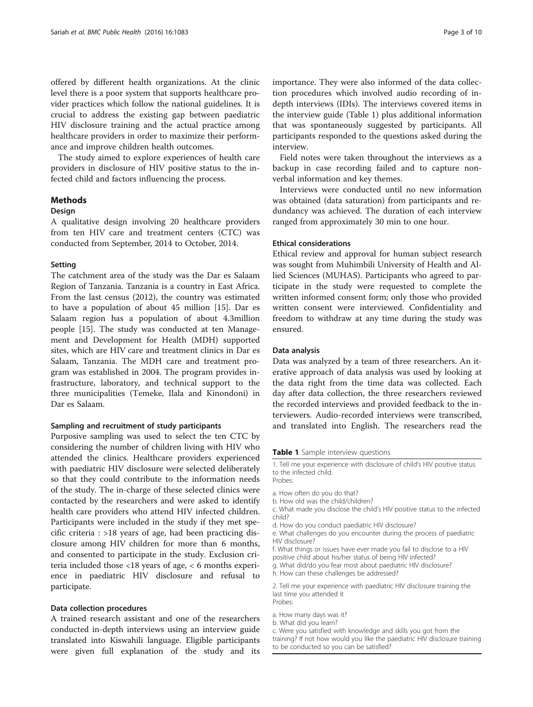offered by different health organizations. At the clinic level there is a poor system that supports healthcare provider practices which follow the national guidelines. It is crucial to address the existing gap between paediatric HIV disclosure training and the actual practice among healthcare providers in order to maximize their performance and improve children health outcomes.

The study aimed to explore experiences of health care providers in disclosure of HIV positive status to the infected child and factors influencing the process.

#### Methods

#### Design

A qualitative design involving 20 healthcare providers from ten HIV care and treatment centers (CTC) was conducted from September, 2014 to October, 2014.

#### Setting

The catchment area of the study was the Dar es Salaam Region of Tanzania. Tanzania is a country in East Africa. From the last census (2012), the country was estimated to have a population of about 45 million [[15](#page-8-0)]. Dar es Salaam region has a population of about 4.3million people [\[15](#page-8-0)]. The study was conducted at ten Management and Development for Health (MDH) supported sites, which are HIV care and treatment clinics in Dar es Salaam, Tanzania. The MDH care and treatment program was established in 2004. The program provides infrastructure, laboratory, and technical support to the three municipalities (Temeke, Ilala and Kinondoni) in Dar es Salaam.

#### Sampling and recruitment of study participants

Purposive sampling was used to select the ten CTC by considering the number of children living with HIV who attended the clinics. Healthcare providers experienced with paediatric HIV disclosure were selected deliberately so that they could contribute to the information needs of the study. The in-charge of these selected clinics were contacted by the researchers and were asked to identify health care providers who attend HIV infected children. Participants were included in the study if they met specific criteria : >18 years of age, had been practicing disclosure among HIV children for more than 6 months, and consented to participate in the study. Exclusion criteria included those <18 years of age, < 6 months experience in paediatric HIV disclosure and refusal to participate.

#### Data collection procedures

A trained research assistant and one of the researchers conducted in-depth interviews using an interview guide translated into Kiswahili language. Eligible participants were given full explanation of the study and its

importance. They were also informed of the data collection procedures which involved audio recording of indepth interviews (IDIs). The interviews covered items in the interview guide (Table 1) plus additional information that was spontaneously suggested by participants. All participants responded to the questions asked during the interview.

Field notes were taken throughout the interviews as a backup in case recording failed and to capture nonverbal information and key themes.

Interviews were conducted until no new information was obtained (data saturation) from participants and redundancy was achieved. The duration of each interview ranged from approximately 30 min to one hour.

#### Ethical considerations

Ethical review and approval for human subject research was sought from Muhimbili University of Health and Allied Sciences (MUHAS). Participants who agreed to participate in the study were requested to complete the written informed consent form; only those who provided written consent were interviewed. Confidentiality and freedom to withdraw at any time during the study was ensured.

#### Data analysis

Data was analyzed by a team of three researchers. An iterative approach of data analysis was used by looking at the data right from the time data was collected. Each day after data collection, the three researchers reviewed the recorded interviews and provided feedback to the interviewers. Audio-recorded interviews were transcribed, and translated into English. The researchers read the

Table 1 Sample interview questions

- a. How often do you do that?
- b. How old was the child/children?
- c. What made you disclose the child's HIV positive status to the infected child?
- d. How do you conduct paediatric HIV disclosure?
- e. What challenges do you encounter during the process of paediatric HIV disclosure?
- f. What things or issues have ever made you fail to disclose to a HIV
- positive child about his/her status of being HIV infected? g. What did/do you fear most about paediatric HIV disclosure?
- h. How can these challenges be addressed?
- 

2. Tell me your experience with paediatric HIV disclosure training the last time you attended it Probes:

- a. How many days was it?
- b. What did you learn?

c. Were you satisfied with knowledge and skills you got from the training? If not how would you like the paediatric HIV disclosure training to be conducted so you can be satisfied?

<sup>1.</sup> Tell me your experience with disclosure of child's HIV positive status to the infected child. Probes: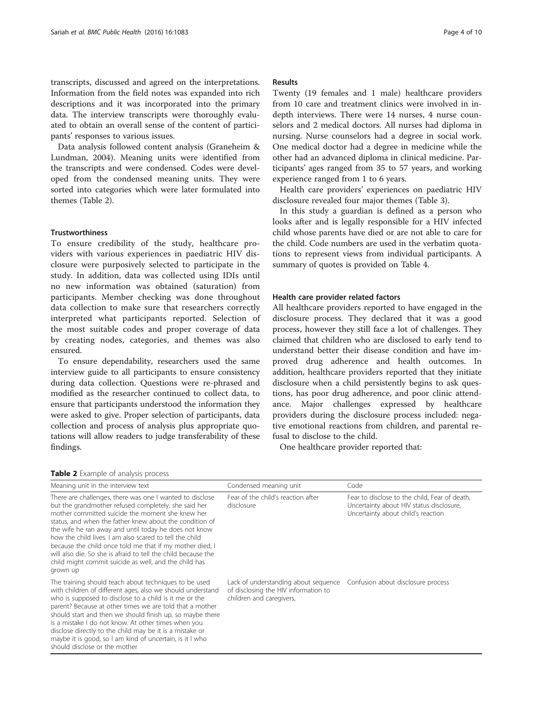transcripts, discussed and agreed on the interpretations. Information from the field notes was expanded into rich descriptions and it was incorporated into the primary data. The interview transcripts were thoroughly evaluated to obtain an overall sense of the content of participants' responses to various issues.

Data analysis followed content analysis (Graneheim & Lundman, 2004). Meaning units were identified from the transcripts and were condensed. Codes were developed from the condensed meaning units. They were sorted into categories which were later formulated into themes (Table 2).

#### Trustworthiness

To ensure credibility of the study, healthcare providers with various experiences in paediatric HIV disclosure were purposively selected to participate in the study. In addition, data was collected using IDIs until no new information was obtained (saturation) from participants. Member checking was done throughout data collection to make sure that researchers correctly interpreted what participants reported. Selection of the most suitable codes and proper coverage of data by creating nodes, categories, and themes was also ensured.

To ensure dependability, researchers used the same interview guide to all participants to ensure consistency during data collection. Questions were re-phrased and modified as the researcher continued to collect data, to ensure that participants understood the information they were asked to give. Proper selection of participants, data collection and process of analysis plus appropriate quotations will allow readers to judge transferability of these findings.

#### Results

Twenty (19 females and 1 male) healthcare providers from 10 care and treatment clinics were involved in indepth interviews. There were 14 nurses, 4 nurse counselors and 2 medical doctors. All nurses had diploma in nursing. Nurse counselors had a degree in social work. One medical doctor had a degree in medicine while the other had an advanced diploma in clinical medicine. Participants' ages ranged from 35 to 57 years, and working experience ranged from 1 to 6 years.

Health care providers' experiences on paediatric HIV disclosure revealed four major themes (Table [3](#page-4-0)).

In this study a guardian is defined as a person who looks after and is legally responsible for a HIV infected child whose parents have died or are not able to care for the child. Code numbers are used in the verbatim quotations to represent views from individual participants. A summary of quotes is provided on Table [4.](#page-4-0)

#### Health care provider related factors

All healthcare providers reported to have engaged in the disclosure process. They declared that it was a good process, however they still face a lot of challenges. They claimed that children who are disclosed to early tend to understand better their disease condition and have improved drug adherence and health outcomes. In addition, healthcare providers reported that they initiate disclosure when a child persistently begins to ask questions, has poor drug adherence, and poor clinic attendance. Major challenges expressed by healthcare providers during the disclosure process included: negative emotional reactions from children, and parental refusal to disclose to the child.

One healthcare provider reported that:

|  |  | Table 2 Example of analysis process |  |  |  |
|--|--|-------------------------------------|--|--|--|
|--|--|-------------------------------------|--|--|--|

| Meaning unit in the interview text                                                                                                                                                                                                                                                                                                                                                                                                                                                                                                                    | Condensed meaning unit                                                                                   | Code                                                                                                                            |
|-------------------------------------------------------------------------------------------------------------------------------------------------------------------------------------------------------------------------------------------------------------------------------------------------------------------------------------------------------------------------------------------------------------------------------------------------------------------------------------------------------------------------------------------------------|----------------------------------------------------------------------------------------------------------|---------------------------------------------------------------------------------------------------------------------------------|
| There are challenges, there was one I wanted to disclose<br>but the grandmother refused completely, she said her<br>mother committed suicide the moment she knew her<br>status, and when the father knew about the condition of<br>the wife he ran away and until today he does not know<br>how the child lives. I am also scared to tell the child<br>because the child once told me that if my mother died, I<br>will also die. So she is afraid to tell the child because the<br>child might commit suicide as well, and the child has<br>grown up | Fear of the child's reaction after<br>disclosure                                                         | Fear to disclose to the child, Fear of death,<br>Uncertainty about HIV status disclosure,<br>Uncertainty about child's reaction |
| The training should teach about techniques to be used<br>with children of different ages, also we should understand<br>who is supposed to disclose to a child is it me or the<br>parent? Because at other times we are told that a mother<br>should start and then we should finish up, so maybe there<br>is a mistake I do not know. At other times when you<br>disclose directly to the child may be it is a mistake or<br>maybe it is good, so I am kind of uncertain, is it I who<br>should disclose or the mother                                | Lack of understanding about sequence<br>of disclosing the HIV information to<br>children and caregivers, | Confusion about disclosure process                                                                                              |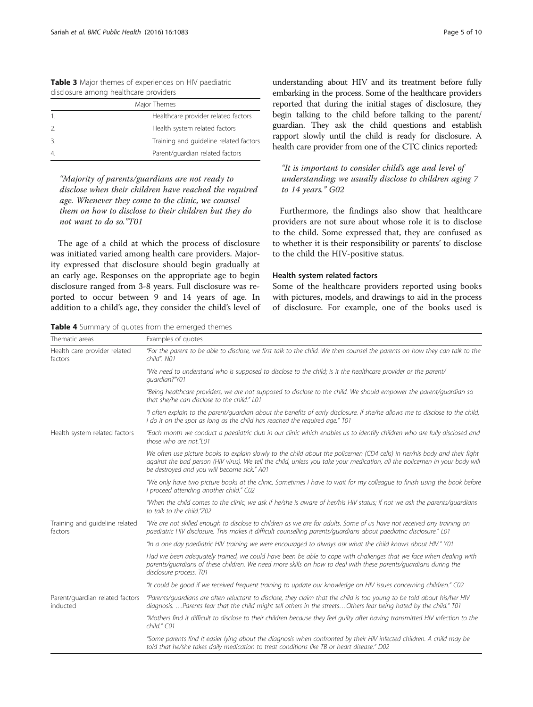| <b>Rable 3</b> Major trientes or experiences on ring paculatile |  |  |  |
|-----------------------------------------------------------------|--|--|--|
| disclosure among healthcare providers                           |  |  |  |
| Major Themes                                                    |  |  |  |
|                                                                 |  |  |  |

<span id="page-4-0"></span>Table 3 Major themes of experiences on HIV paediatric

|                | Healthcare provider related factors    |
|----------------|----------------------------------------|
| $\mathcal{L}$  | Health system related factors          |
| 3.             | Training and quideline related factors |
| $\overline{4}$ | Parent/guardian related factors        |

"Majority of parents/guardians are not ready to disclose when their children have reached the required age. Whenever they come to the clinic, we counsel them on how to disclose to their children but they do not want to do so."T01

The age of a child at which the process of disclosure was initiated varied among health care providers. Majority expressed that disclosure should begin gradually at an early age. Responses on the appropriate age to begin disclosure ranged from 3-8 years. Full disclosure was reported to occur between 9 and 14 years of age. In addition to a child's age, they consider the child's level of

Table 4 Summary of quotes from the emerged themes

understanding about HIV and its treatment before fully embarking in the process. Some of the healthcare providers reported that during the initial stages of disclosure, they begin talking to the child before talking to the parent/ guardian. They ask the child questions and establish rapport slowly until the child is ready for disclosure. A health care provider from one of the CTC clinics reported:

"It is important to consider child's age and level of understanding; we usually disclose to children aging 7 to 14 years." G02

Furthermore, the findings also show that healthcare providers are not sure about whose role it is to disclose to the child. Some expressed that, they are confused as to whether it is their responsibility or parents' to disclose to the child the HIV-positive status.

#### Health system related factors

Some of the healthcare providers reported using books with pictures, models, and drawings to aid in the process of disclosure. For example, one of the books used is

| Thematic areas                              | Examples of quotes                                                                                                                                                                                                                                                                                      |
|---------------------------------------------|---------------------------------------------------------------------------------------------------------------------------------------------------------------------------------------------------------------------------------------------------------------------------------------------------------|
| Health care provider related<br>factors     | "For the parent to be able to disclose, we first talk to the child. We then counsel the parents on how they can talk to the<br>child". N01                                                                                                                                                              |
|                                             | "We need to understand who is supposed to disclose to the child; is it the healthcare provider or the parent/<br>quardian?"Y01                                                                                                                                                                          |
|                                             | "Being healthcare providers, we are not supposed to disclose to the child. We should empower the parent/quardian so<br>that she/he can disclose to the child." L01                                                                                                                                      |
|                                             | "I often explain to the parent/quardian about the benefits of early disclosure. If she/he allows me to disclose to the child,<br>I do it on the spot as long as the child has reached the required age." T01                                                                                            |
| Health system related factors               | "Each month we conduct a paediatric club in our clinic which enables us to identify children who are fully disclosed and<br>those who are not."L01                                                                                                                                                      |
|                                             | We often use picture books to explain slowly to the child about the policemen (CD4 cells) in her/his body and their fight<br>against the bad person (HIV virus). We tell the child, unless you take your medication, all the policemen in your body will<br>be destroyed and you will become sick." A01 |
|                                             | "We only have two picture books at the clinic. Sometimes I have to wait for my colleague to finish using the book before<br>I proceed attending another child." C02                                                                                                                                     |
|                                             | "When the child comes to the clinic, we ask if he/she is aware of her/his HIV status; if not we ask the parents/quardians<br>to talk to the child."Z02                                                                                                                                                  |
| Training and guideline related<br>factors   | "We are not skilled enough to disclose to children as we are for adults. Some of us have not received any training on<br>paediatric HIV disclosure. This makes it difficult counselling parents/quardians about paediatric disclosure." L01                                                             |
|                                             | "In a one day paediatric HIV training we were encouraged to always ask what the child knows about HIV." Y01                                                                                                                                                                                             |
|                                             | Had we been adequately trained, we could have been be able to cope with challenges that we face when dealing with<br>parents/quardians of these children. We need more skills on how to deal with these parents/quardians during the<br>disclosure process. T01                                         |
|                                             | "It could be good if we received frequent training to update our knowledge on HIV issues concerning children." C02                                                                                                                                                                                      |
| Parent/guardian related factors<br>inducted | "Parents/quardians are often reluctant to disclose, they claim that the child is too young to be told about his/her HIV<br>diagnosis. Parents fear that the child might tell others in the streetsOthers fear being hated by the child." T01                                                            |
|                                             | "Mothers find it difficult to disclose to their children because they feel quilty after having transmitted HIV infection to the<br>child." C01                                                                                                                                                          |
|                                             | "Some parents find it easier lying about the diagnosis when confronted by their HIV infected children. A child may be<br>told that he/she takes daily medication to treat conditions like TB or heart disease." D02                                                                                     |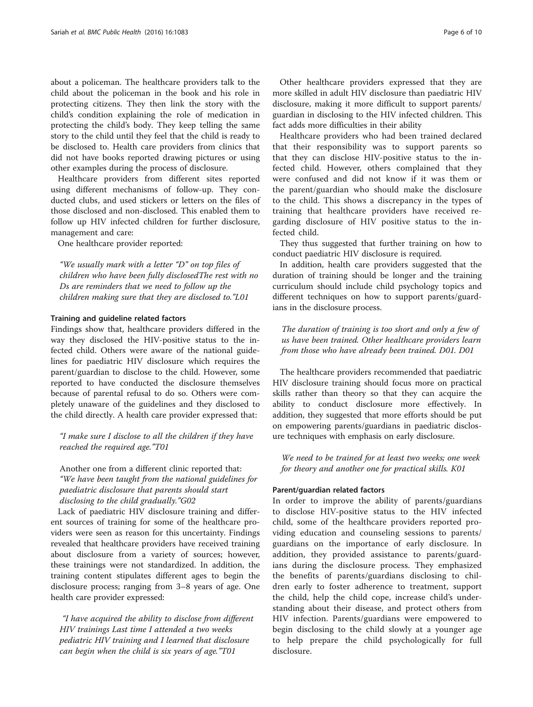about a policeman. The healthcare providers talk to the child about the policeman in the book and his role in protecting citizens. They then link the story with the child's condition explaining the role of medication in protecting the child's body. They keep telling the same story to the child until they feel that the child is ready to be disclosed to. Health care providers from clinics that did not have books reported drawing pictures or using other examples during the process of disclosure.

Healthcare providers from different sites reported using different mechanisms of follow-up. They conducted clubs, and used stickers or letters on the files of those disclosed and non-disclosed. This enabled them to follow up HIV infected children for further disclosure, management and care:

One healthcare provider reported:

"We usually mark with a letter "D" on top files of children who have been fully disclosedThe rest with no Ds are reminders that we need to follow up the children making sure that they are disclosed to."L01

#### Training and guideline related factors

Findings show that, healthcare providers differed in the way they disclosed the HIV-positive status to the infected child. Others were aware of the national guidelines for paediatric HIV disclosure which requires the parent/guardian to disclose to the child. However, some reported to have conducted the disclosure themselves because of parental refusal to do so. Others were completely unaware of the guidelines and they disclosed to the child directly. A health care provider expressed that:

"I make sure I disclose to all the children if they have reached the required age."T01

Another one from a different clinic reported that: "We have been taught from the national guidelines for paediatric disclosure that parents should start disclosing to the child gradually."G02

Lack of paediatric HIV disclosure training and different sources of training for some of the healthcare providers were seen as reason for this uncertainty. Findings revealed that healthcare providers have received training about disclosure from a variety of sources; however, these trainings were not standardized. In addition, the training content stipulates different ages to begin the disclosure process; ranging from 3–8 years of age. One health care provider expressed:

"I have acquired the ability to disclose from different HIV trainings Last time I attended a two weeks pediatric HIV training and I learned that disclosure can begin when the child is six years of age."T01

Other healthcare providers expressed that they are more skilled in adult HIV disclosure than paediatric HIV disclosure, making it more difficult to support parents/ guardian in disclosing to the HIV infected children. This fact adds more difficulties in their ability

Healthcare providers who had been trained declared that their responsibility was to support parents so that they can disclose HIV-positive status to the infected child. However, others complained that they were confused and did not know if it was them or the parent/guardian who should make the disclosure to the child. This shows a discrepancy in the types of training that healthcare providers have received regarding disclosure of HIV positive status to the infected child.

They thus suggested that further training on how to conduct paediatric HIV disclosure is required.

In addition, health care providers suggested that the duration of training should be longer and the training curriculum should include child psychology topics and different techniques on how to support parents/guardians in the disclosure process.

The duration of training is too short and only a few of us have been trained. Other healthcare providers learn from those who have already been trained. D01. D01

The healthcare providers recommended that paediatric HIV disclosure training should focus more on practical skills rather than theory so that they can acquire the ability to conduct disclosure more effectively. In addition, they suggested that more efforts should be put on empowering parents/guardians in paediatric disclosure techniques with emphasis on early disclosure.

We need to be trained for at least two weeks; one week for theory and another one for practical skills. K01

#### Parent/guardian related factors

In order to improve the ability of parents/guardians to disclose HIV-positive status to the HIV infected child, some of the healthcare providers reported providing education and counseling sessions to parents/ guardians on the importance of early disclosure. In addition, they provided assistance to parents/guardians during the disclosure process. They emphasized the benefits of parents/guardians disclosing to children early to foster adherence to treatment, support the child, help the child cope, increase child's understanding about their disease, and protect others from HIV infection. Parents/guardians were empowered to begin disclosing to the child slowly at a younger age to help prepare the child psychologically for full disclosure.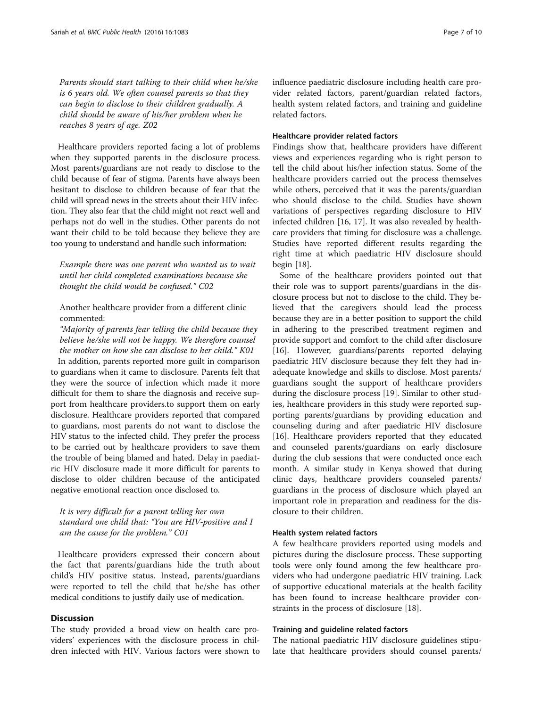Parents should start talking to their child when he/she is 6 years old. We often counsel parents so that they can begin to disclose to their children gradually. A child should be aware of his/her problem when he reaches 8 years of age. Z02

Healthcare providers reported facing a lot of problems when they supported parents in the disclosure process. Most parents/guardians are not ready to disclose to the child because of fear of stigma. Parents have always been hesitant to disclose to children because of fear that the child will spread news in the streets about their HIV infection. They also fear that the child might not react well and perhaps not do well in the studies. Other parents do not want their child to be told because they believe they are too young to understand and handle such information:

Example there was one parent who wanted us to wait until her child completed examinations because she thought the child would be confused." C02

Another healthcare provider from a different clinic commented:

"Majority of parents fear telling the child because they believe he/she will not be happy. We therefore counsel the mother on how she can disclose to her child." K01

In addition, parents reported more guilt in comparison to guardians when it came to disclosure. Parents felt that they were the source of infection which made it more difficult for them to share the diagnosis and receive support from healthcare providers.to support them on early disclosure. Healthcare providers reported that compared to guardians, most parents do not want to disclose the HIV status to the infected child. They prefer the process to be carried out by healthcare providers to save them the trouble of being blamed and hated. Delay in paediatric HIV disclosure made it more difficult for parents to disclose to older children because of the anticipated negative emotional reaction once disclosed to.

It is very difficult for a parent telling her own standard one child that: "You are HIV-positive and I am the cause for the problem." C01

Healthcare providers expressed their concern about the fact that parents/guardians hide the truth about child's HIV positive status. Instead, parents/guardians were reported to tell the child that he/she has other medical conditions to justify daily use of medication.

#### **Discussion**

The study provided a broad view on health care providers' experiences with the disclosure process in children infected with HIV. Various factors were shown to influence paediatric disclosure including health care provider related factors, parent/guardian related factors, health system related factors, and training and guideline related factors.

#### Healthcare provider related factors

Findings show that, healthcare providers have different views and experiences regarding who is right person to tell the child about his/her infection status. Some of the healthcare providers carried out the process themselves while others, perceived that it was the parents/guardian who should disclose to the child. Studies have shown variations of perspectives regarding disclosure to HIV infected children [\[16](#page-8-0), [17](#page-9-0)]. It was also revealed by healthcare providers that timing for disclosure was a challenge. Studies have reported different results regarding the right time at which paediatric HIV disclosure should begin [\[18\]](#page-9-0).

Some of the healthcare providers pointed out that their role was to support parents/guardians in the disclosure process but not to disclose to the child. They believed that the caregivers should lead the process because they are in a better position to support the child in adhering to the prescribed treatment regimen and provide support and comfort to the child after disclosure [[16\]](#page-8-0). However, guardians/parents reported delaying paediatric HIV disclosure because they felt they had inadequate knowledge and skills to disclose. Most parents/ guardians sought the support of healthcare providers during the disclosure process [\[19\]](#page-9-0). Similar to other studies, healthcare providers in this study were reported supporting parents/guardians by providing education and counseling during and after paediatric HIV disclosure [[16\]](#page-8-0). Healthcare providers reported that they educated and counseled parents/guardians on early disclosure during the club sessions that were conducted once each month. A similar study in Kenya showed that during clinic days, healthcare providers counseled parents/ guardians in the process of disclosure which played an important role in preparation and readiness for the disclosure to their children.

#### Health system related factors

A few healthcare providers reported using models and pictures during the disclosure process. These supporting tools were only found among the few healthcare providers who had undergone paediatric HIV training. Lack of supportive educational materials at the health facility has been found to increase healthcare provider constraints in the process of disclosure [[18](#page-9-0)].

#### Training and guideline related factors

The national paediatric HIV disclosure guidelines stipulate that healthcare providers should counsel parents/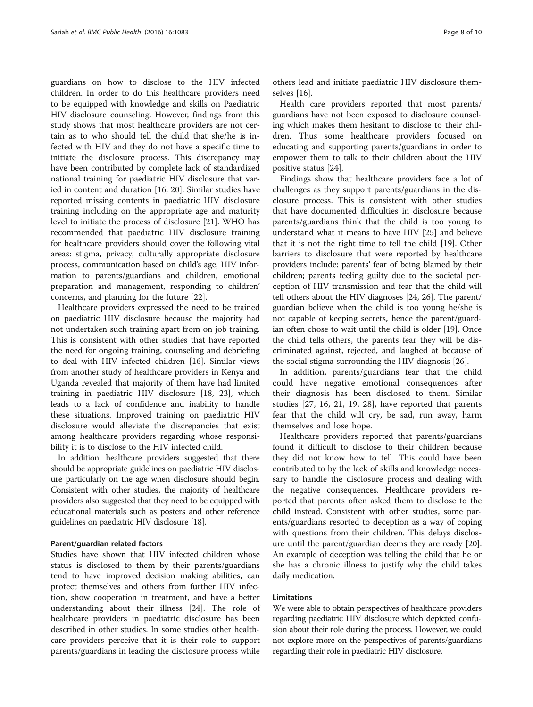guardians on how to disclose to the HIV infected children. In order to do this healthcare providers need to be equipped with knowledge and skills on Paediatric HIV disclosure counseling. However, findings from this study shows that most healthcare providers are not certain as to who should tell the child that she/he is infected with HIV and they do not have a specific time to initiate the disclosure process. This discrepancy may have been contributed by complete lack of standardized national training for paediatric HIV disclosure that varied in content and duration [[16,](#page-8-0) [20\]](#page-9-0). Similar studies have reported missing contents in paediatric HIV disclosure training including on the appropriate age and maturity level to initiate the process of disclosure [\[21\]](#page-9-0). WHO has recommended that paediatric HIV disclosure training for healthcare providers should cover the following vital areas: stigma, privacy, culturally appropriate disclosure process, communication based on child's age, HIV information to parents/guardians and children, emotional preparation and management, responding to children' concerns, and planning for the future [[22](#page-9-0)].

Healthcare providers expressed the need to be trained on paediatric HIV disclosure because the majority had not undertaken such training apart from on job training. This is consistent with other studies that have reported the need for ongoing training, counseling and debriefing to deal with HIV infected children [[16](#page-8-0)]. Similar views from another study of healthcare providers in Kenya and Uganda revealed that majority of them have had limited training in paediatric HIV disclosure [\[18](#page-9-0), [23\]](#page-9-0), which leads to a lack of confidence and inability to handle these situations. Improved training on paediatric HIV disclosure would alleviate the discrepancies that exist among healthcare providers regarding whose responsibility it is to disclose to the HIV infected child.

In addition, healthcare providers suggested that there should be appropriate guidelines on paediatric HIV disclosure particularly on the age when disclosure should begin. Consistent with other studies, the majority of healthcare providers also suggested that they need to be equipped with educational materials such as posters and other reference guidelines on paediatric HIV disclosure [\[18\]](#page-9-0).

#### Parent/guardian related factors

Studies have shown that HIV infected children whose status is disclosed to them by their parents/guardians tend to have improved decision making abilities, can protect themselves and others from further HIV infection, show cooperation in treatment, and have a better understanding about their illness [\[24](#page-9-0)]. The role of healthcare providers in paediatric disclosure has been described in other studies. In some studies other healthcare providers perceive that it is their role to support parents/guardians in leading the disclosure process while

others lead and initiate paediatric HIV disclosure themselves [\[16](#page-8-0)].

Health care providers reported that most parents/ guardians have not been exposed to disclosure counseling which makes them hesitant to disclose to their children. Thus some healthcare providers focused on educating and supporting parents/guardians in order to empower them to talk to their children about the HIV positive status [[24](#page-9-0)].

Findings show that healthcare providers face a lot of challenges as they support parents/guardians in the disclosure process. This is consistent with other studies that have documented difficulties in disclosure because parents/guardians think that the child is too young to understand what it means to have HIV [\[25](#page-9-0)] and believe that it is not the right time to tell the child [\[19](#page-9-0)]. Other barriers to disclosure that were reported by healthcare providers include: parents' fear of being blamed by their children; parents feeling guilty due to the societal perception of HIV transmission and fear that the child will tell others about the HIV diagnoses [[24](#page-9-0), [26](#page-9-0)]. The parent/ guardian believe when the child is too young he/she is not capable of keeping secrets, hence the parent/guardian often chose to wait until the child is older [[19](#page-9-0)]. Once the child tells others, the parents fear they will be discriminated against, rejected, and laughed at because of the social stigma surrounding the HIV diagnosis [\[26](#page-9-0)].

In addition, parents/guardians fear that the child could have negative emotional consequences after their diagnosis has been disclosed to them. Similar studies [[27,](#page-9-0) [16,](#page-8-0) [21](#page-9-0), [19](#page-9-0), [28\]](#page-9-0), have reported that parents fear that the child will cry, be sad, run away, harm themselves and lose hope.

Healthcare providers reported that parents/guardians found it difficult to disclose to their children because they did not know how to tell. This could have been contributed to by the lack of skills and knowledge necessary to handle the disclosure process and dealing with the negative consequences. Healthcare providers reported that parents often asked them to disclose to the child instead. Consistent with other studies, some parents/guardians resorted to deception as a way of coping with questions from their children. This delays disclosure until the parent/guardian deems they are ready [\[20](#page-9-0)]. An example of deception was telling the child that he or she has a chronic illness to justify why the child takes daily medication.

#### Limitations

We were able to obtain perspectives of healthcare providers regarding paediatric HIV disclosure which depicted confusion about their role during the process. However, we could not explore more on the perspectives of parents/guardians regarding their role in paediatric HIV disclosure.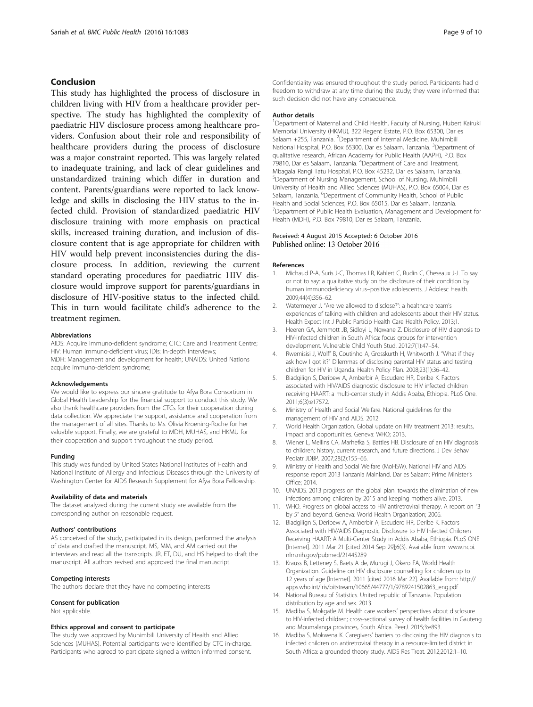#### <span id="page-8-0"></span>Conclusion

This study has highlighted the process of disclosure in children living with HIV from a healthcare provider perspective. The study has highlighted the complexity of paediatric HIV disclosure process among healthcare providers. Confusion about their role and responsibility of healthcare providers during the process of disclosure was a major constraint reported. This was largely related to inadequate training, and lack of clear guidelines and unstandardized training which differ in duration and content. Parents/guardians were reported to lack knowledge and skills in disclosing the HIV status to the infected child. Provision of standardized paediatric HIV disclosure training with more emphasis on practical skills, increased training duration, and inclusion of disclosure content that is age appropriate for children with HIV would help prevent inconsistencies during the disclosure process. In addition, reviewing the current standard operating procedures for paediatric HIV disclosure would improve support for parents/guardians in disclosure of HIV-positive status to the infected child. This in turn would facilitate child's adherence to the treatment regimen.

#### Abbreviations

AIDS: Acquire immuno-deficient syndrome; CTC: Care and Treatment Centre; HIV: Human immuno-deficient virus; IDIs: In-depth interviews; MDH: Management and development for health; UNAIDS: United Nations acquire immuno-deficient syndrome;

#### Acknowledgements

We would like to express our sincere gratitude to Afya Bora Consortium in Global Health Leadership for the financial support to conduct this study. We also thank healthcare providers from the CTCs for their cooperation during data collection. We appreciate the support, assistance and cooperation from the management of all sites. Thanks to Ms. Olivia Kroening-Roche for her valuable support. Finally, we are grateful to MDH, MUHAS, and HKMU for their cooperation and support throughout the study period.

#### Funding

This study was funded by United States National Institutes of Health and National Institute of Allergy and Infectious Diseases through the University of Washington Center for AIDS Research Supplement for Afya Bora Fellowship.

#### Availability of data and materials

The dataset analyzed during the current study are available from the corresponding author on reasonable request.

#### Authors' contributions

AS conceived of the study, participated in its design, performed the analysis of data and drafted the manuscript. MS, MM, and AM carried out the interviews and read all the transcripts. JR, ET, DU, and HS helped to draft the manuscript. All authors revised and approved the final manuscript.

#### Competing interests

The authors declare that they have no competing interests

#### Consent for publication

Not applicable.

#### Ethics approval and consent to participate

The study was approved by Muhimbili University of Health and Allied Sciences (MUHAS). Potential participants were identified by CTC in-charge. Participants who agreed to participate signed a written informed consent.

Confidentiality was ensured throughout the study period. Participants had d freedom to withdraw at any time during the study; they were informed that such decision did not have any consequence.

#### Author details

<sup>1</sup>Department of Maternal and Child Health, Faculty of Nursing, Hubert Kairuki Memorial University (HKMU), 322 Regent Estate, P.O. Box 65300, Dar es Salaam +255, Tanzania. <sup>2</sup>Department of Internal Medicine, Muhimbili National Hospital, P.O. Box 65300, Dar es Salaam, Tanzania. <sup>3</sup>Department of qualitative research, African Academy for Public Health (AAPH), P.O. Box 79810, Dar es Salaam, Tanzania. <sup>4</sup>Department of Care and Treatment, Mbagala Rangi Tatu Hospital, P.O. Box 45232, Dar es Salaam, Tanzania. 5 Department of Nursing Management, School of Nursing, Muhimbili University of Health and Allied Sciences (MUHAS), P.O. Box 65004, Dar es Salaam, Tanzania. <sup>6</sup>Department of Community Health, School of Public Health and Social Sciences, P.O. Box 65015, Dar es Salaam, Tanzania. <sup>7</sup>Department of Public Health Evaluation, Management and Development for Health (MDH), P.O. Box 79810, Dar es Salaam, Tanzania.

#### Received: 4 August 2015 Accepted: 6 October 2016 Published online: 13 October 2016

#### References

- 1. Michaud P-A, Suris J-C, Thomas LR, Kahlert C, Rudin C, Cheseaux J-J. To say or not to say: a qualitative study on the disclosure of their condition by human immunodeficiency virus–positive adolescents. J Adolesc Health. 2009;44(4):356–62.
- 2. Watermeyer J. "Are we allowed to disclose?": a healthcare team's experiences of talking with children and adolescents about their HIV status. Health Expect Int J Public Particip Health Care Health Policy. 2013;1.
- 3. Heeren GA, Jemmott JB, Sidloyi L, Ngwane Z. Disclosure of HIV diagnosis to HIV-infected children in South Africa: focus groups for intervention development. Vulnerable Child Youth Stud. 2012;7(1):47–54.
- 4. Rwemisisi J, Wolff B, Coutinho A, Grosskurth H, Whitworth J. "What if they ask how I got it?" Dilemmas of disclosing parental HIV status and testing children for HIV in Uganda. Health Policy Plan. 2008;23(1):36–42.
- 5. Biadgilign S, Deribew A, Amberbir A, Escudero HR, Deribe K. Factors associated with HIV/AIDS diagnostic disclosure to HIV infected children receiving HAART: a multi-center study in Addis Ababa, Ethiopia. PLoS One. 2011;6(3):e17572.
- Ministry of Health and Social Welfare. National guidelines for the management of HIV and AIDS. 2012.
- 7. World Health Organization. Global update on HIV treatment 2013: results, impact and opportunities. Geneva: WHO; 2013.
- 8. Wiener L, Mellins CA, Marhefka S, Battles HB. Disclosure of an HIV diagnosis to children: history, current research, and future directions. J Dev Behav Pediatr JDBP. 2007;28(2):155–66.
- 9. Ministry of Health and Social Welfare (MoHSW). National HIV and AIDS response report 2013 Tanzania Mainland. Dar es Salaam: Prime Minister's Office; 2014.
- 10. UNAIDS. 2013 progress on the global plan: towards the elimination of new infections among children by 2015 and keeping mothers alive. 2013.
- 11. WHO. Progress on global access to HIV antiretroviral therapy. A report on "3 by 5" and beyond. Geneva: World Health Organization; 2006.
- 12. Biadgilign S, Deribew A, Amberbir A, Escudero HR, Deribe K. Factors Associated with HIV/AIDS Diagnostic Disclosure to HIV Infected Children Receiving HAART: A Multi-Center Study in Addis Ababa, Ethiopia. PLoS ONE [Internet]. 2011 Mar 21 [cited 2014 Sep 29];6(3). Available from: [www.ncbi.](http://www.ncbi.nlm.nih.gov/pubmed/21445289) [nlm.nih.gov/pubmed/21445289](http://www.ncbi.nlm.nih.gov/pubmed/21445289)
- 13. Krauss B, Letteney S, Baets A de, Murugi J, Okero FA, World Health Organization. Guideline on HIV disclosure counselling for children up to 12 years of age [Internet]. 2011 [cited 2016 Mar 22]. Available from: [http://](http://apps.who.int/iris/bitstream/10665/44777/1/9789241502863_eng.pdf) [apps.who.int/iris/bitstream/10665/44777/1/9789241502863\\_eng.pdf](http://apps.who.int/iris/bitstream/10665/44777/1/9789241502863_eng.pdf)
- 14. National Bureau of Statistics. United republic of Tanzania. Population distribution by age and sex. 2013.
- 15. Madiba S, Mokgatle M. Health care workers' perspectives about disclosure to HIV-infected children; cross-sectional survey of health facilities in Gauteng and Mpumalanga provinces, South Africa. PeerJ. 2015;3:e893.
- 16. Madiba S, Mokwena K. Caregivers' barriers to disclosing the HIV diagnosis to infected children on antiretroviral therapy in a resource-limited district in South Africa: a grounded theory study. AIDS Res Treat. 2012;2012:1–10.